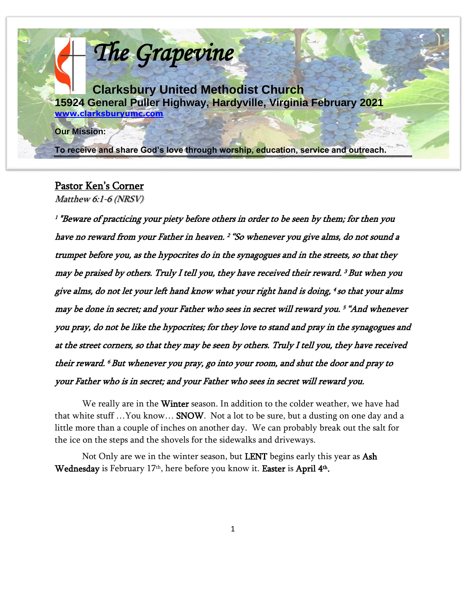

# Pastor Ken's Corner

Matthew 6:1-6 (NRSV)

1 "Beware of practicing your piety before others in order to be seen by them; for then you have no reward from your Father in heaven. <sup>2</sup>"So whenever you give alms, do not sound a trumpet before you, as the hypocrites do in the synagogues and in the streets, so that they may be praised by others. Truly I tell you, they have received their reward. <sup>3</sup>But when you give alms, do not let your left hand know what your right hand is doing, <sup>4</sup> so that your alms may be done in secret; and your Father who sees in secret will reward you. <sup>5</sup>"And whenever you pray, do not be like the hypocrites; for they love to stand and pray in the synagogues and at the street corners, so that they may be seen by others. Truly I tell you, they have received their reward. <sup>6</sup>But whenever you pray, go into your room, and shut the door and pray to your Father who is in secret; and your Father who sees in secret will reward you.

We really are in the Winter season. In addition to the colder weather, we have had that white stuff …You know… SNOW. Not a lot to be sure, but a dusting on one day and a little more than a couple of inches on another day. We can probably break out the salt for the ice on the steps and the shovels for the sidewalks and driveways.

Not Only are we in the winter season, but **LENT** begins early this year as Ash Wednesday is February 17<sup>th</sup>, here before you know it. **Easter** is **April 4<sup>th</sup>.**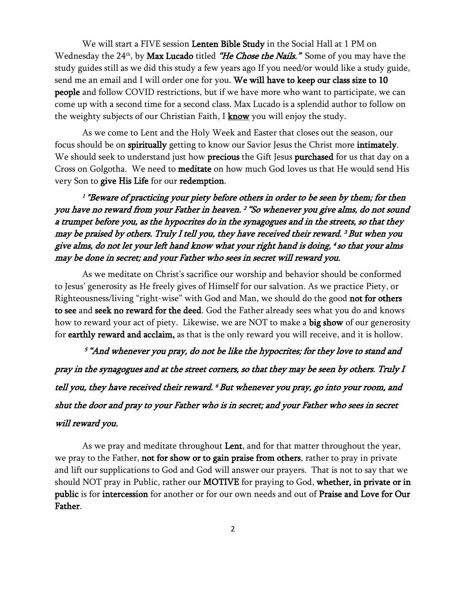We will start a FIVE session Lenten Bible Study in the Social Hall at 1 PM on Wednesday the 24<sup>th</sup>, by **Max Lucado** titled *"He Chose the Nails." S*ome of you may have the study guides still as we did this study a few years ago If you need/or would like a study guide, send me an email and I will order one for you. We will have to keep our class size to 10 people and follow COVID restrictions, but if we have more who want to participate, we can come up with a second time for a second class. Max Lucado is a splendid author to follow on the weighty subjects of our Christian Faith, I  $\text{know}$  you will enjoy the study.

As we come to Lent and the Holy Week and Easter that closes out the season, our focus should be on spiritually getting to know our Savior Jesus the Christ more intimately. We should seek to understand just how precious the Gift Jesus purchased for us that day on a Cross on Golgotha. We need to meditate on how much God loves us that He would send His very Son to give His Life for our redemption.

1 "Beware of practicing your piety before others in order to be seen by them; for then you have no reward from your Father in heaven. <sup>2</sup>"So whenever you give alms, do not sound a trumpet before you, as the hypocrites do in the synagogues and in the streets, so that they may be praised by others. Truly I tell you, they have received their reward. <sup>3</sup>But when you give alms, do not let your left hand know what your right hand is doing, 4 so that your alms may be done in secret; and your Father who sees in secret will reward you.

As we meditate on Christ's sacrifice our worship and behavior should be conformed to Jesus' generosity as He freely gives of Himself for our salvation. As we practice Piety, or Righteousness/living "right-wise" with God and Man, we should do the good not for others to see and seek no reward for the deed. God the Father already sees what you do and knows how to reward your act of piety. Likewise, we are NOT to make a big show of our generosity for earthly reward and acclaim, as that is the only reward you will receive, and it is hollow.

 <sup>5</sup>"And whenever you pray, do not be like the hypocrites; for they love to stand and pray in the synagogues and at the street corners, so that they may be seen by others. Truly I tell you, they have received their reward. <sup>6</sup>But whenever you pray, go into your room, and shut the door and pray to your Father who is in secret; and your Father who sees in secret will reward you.

As we pray and meditate throughout Lent, and for that matter throughout the year, we pray to the Father, not for show or to gain praise from others, rather to pray in private and lift our supplications to God and God will answer our prayers. That is not to say that we should NOT pray in Public, rather our **MOTIVE** for praying to God, whether, in private or in public is for intercession for another or for our own needs and out of Praise and Love for Our Father.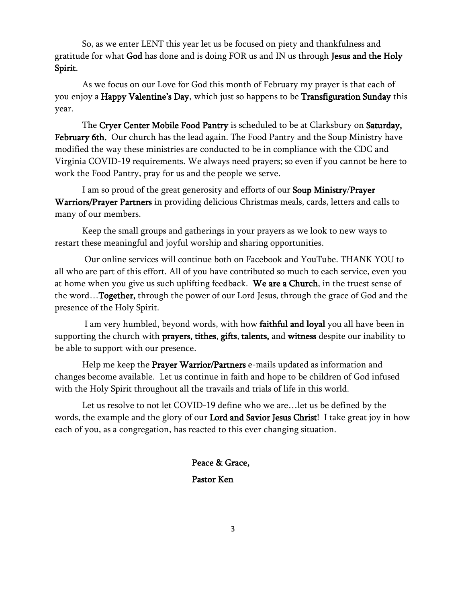So, as we enter LENT this year let us be focused on piety and thankfulness and gratitude for what God has done and is doing FOR us and IN us through Jesus and the Holy Spirit.

As we focus on our Love for God this month of February my prayer is that each of you enjoy a Happy Valentine's Day, which just so happens to be Transfiguration Sunday this year.

The Cryer Center Mobile Food Pantry is scheduled to be at Clarksbury on Saturday, February 6th. Our church has the lead again. The Food Pantry and the Soup Ministry have modified the way these ministries are conducted to be in compliance with the CDC and Virginia COVID-19 requirements. We always need prayers; so even if you cannot be here to work the Food Pantry, pray for us and the people we serve.

I am so proud of the great generosity and efforts of our Soup Ministry/Prayer Warriors/Prayer Partners in providing delicious Christmas meals, cards, letters and calls to many of our members.

Keep the small groups and gatherings in your prayers as we look to new ways to restart these meaningful and joyful worship and sharing opportunities.

Our online services will continue both on Facebook and YouTube. THANK YOU to all who are part of this effort. All of you have contributed so much to each service, even you at home when you give us such uplifting feedback. We are a Church, in the truest sense of the word…Together, through the power of our Lord Jesus, through the grace of God and the presence of the Holy Spirit.

I am very humbled, beyond words, with how faithful and loyal you all have been in supporting the church with prayers, tithes, gifts, talents, and witness despite our inability to be able to support with our presence.

Help me keep the Prayer Warrior/Partners e-mails updated as information and changes become available. Let us continue in faith and hope to be children of God infused with the Holy Spirit throughout all the travails and trials of life in this world.

Let us resolve to not let COVID-19 define who we are…let us be defined by the words, the example and the glory of our Lord and Savior Jesus Christ! I take great joy in how each of you, as a congregation, has reacted to this ever changing situation.

> Peace & Grace, Pastor Ken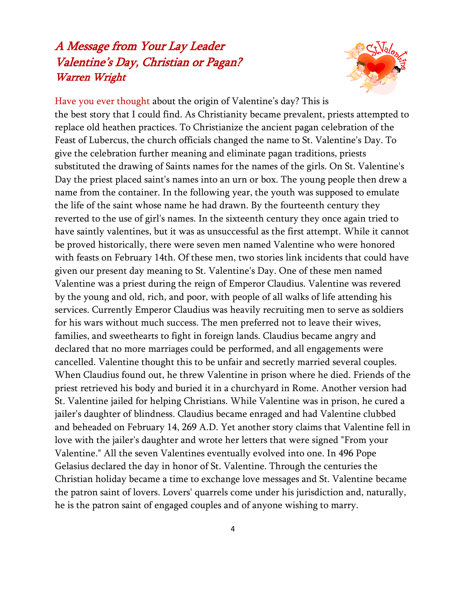# A Message from Your Lay Leader Valentine's Day, Christian or Pagan? Warren Wright



Have you ever thought about the origin of Valentine's day? This is the best story that I could find. As Christianity became prevalent, priests attempted to replace old heathen practices. To Christianize the ancient pagan celebration of the Feast of Lubercus, the church officials changed the name to St. Valentine's Day. To give the celebration further meaning and eliminate pagan traditions, priests substituted the drawing of Saints names for the names of the girls. On St. Valentine's Day the priest placed saint's names into an urn or box. The young people then drew a name from the container. In the following year, the youth was supposed to emulate the life of the saint whose name he had drawn. By the fourteenth century they reverted to the use of girl's names. In the sixteenth century they once again tried to have saintly valentines, but it was as unsuccessful as the first attempt. While it cannot be proved historically, there were seven men named Valentine who were honored with feasts on February 14th. Of these men, two stories link incidents that could have given our present day meaning to St. Valentine's Day. One of these men named Valentine was a priest during the reign of Emperor Claudius. Valentine was revered by the young and old, rich, and poor, with people of all walks of life attending his services. Currently Emperor Claudius was heavily recruiting men to serve as soldiers for his wars without much success. The men preferred not to leave their wives, families, and sweethearts to fight in foreign lands. Claudius became angry and declared that no more marriages could be performed, and all engagements were cancelled. Valentine thought this to be unfair and secretly married several couples. When Claudius found out, he threw Valentine in prison where he died. Friends of the priest retrieved his body and buried it in a churchyard in Rome. Another version had St. Valentine jailed for helping Christians. While Valentine was in prison, he cured a jailer's daughter of blindness. Claudius became enraged and had Valentine clubbed and beheaded on February 14, 269 A.D. Yet another story claims that Valentine fell in love with the jailer's daughter and wrote her letters that were signed "From your Valentine." All the seven Valentines eventually evolved into one. In 496 Pope Gelasius declared the day in honor of St. Valentine. Through the centuries the Christian holiday became a time to exchange love messages and St. Valentine became the patron saint of lovers. Lovers' quarrels come under his jurisdiction and, naturally, he is the patron saint of engaged couples and of anyone wishing to marry.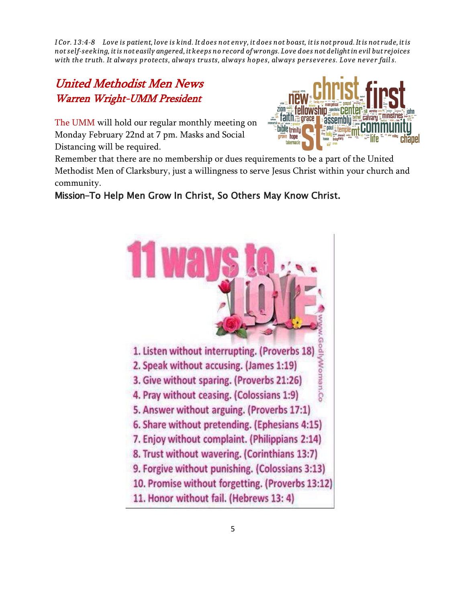*I Cor. 13:4-8 Love is patient, love is kind. It does not envy, it does not boast, it is not proud. It is not rude, it is not self-seeking, it is not easily angered, it keeps no record of wrongs. Love does not delight in evil but rejoices with the truth. It always protects, always trusts, always hopes, always perseveres. Love never fails.*

# United Methodist Men News Warren Wright-UMM President

The UMM will hold our regular monthly meeting on Monday February 22nd at 7 pm. Masks and Social Distancing will be required.



Remember that there are no membership or dues requirements to be a part of the United Methodist Men of Clarksbury, just a willingness to serve Jesus Christ within your church and community.

### Mission-To Help Men Grow In Christ, So Others May Know Christ.

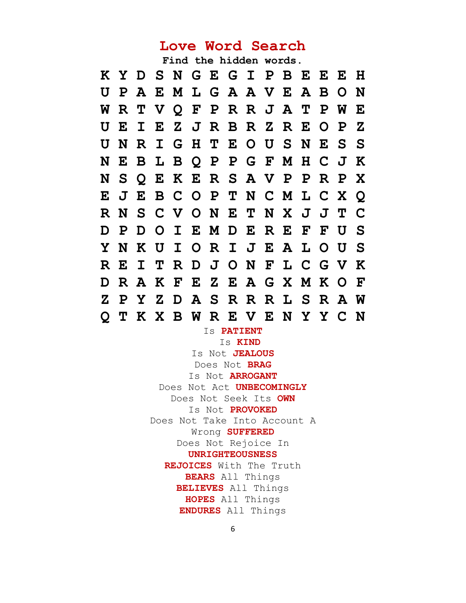# **Love Word Search**

**Find the hidden words.**

|                |  |  | KYD SN GEGIPBEEH              |  |  |  |              |
|----------------|--|--|-------------------------------|--|--|--|--------------|
|                |  |  | U P A E M L G A A V E A B O N |  |  |  |              |
|                |  |  | WRTVQFPRRJATPWE               |  |  |  |              |
|                |  |  | U E I E Z J R B R Z R E O P   |  |  |  | $\mathbf{Z}$ |
| U              |  |  | NRIGHTEOUSNESS                |  |  |  |              |
|                |  |  | NEBLBQPPGFMHCJK               |  |  |  |              |
|                |  |  | N S Q E K E R S A V P P R P X |  |  |  |              |
|                |  |  | E J E B C O P T N C M L C X Q |  |  |  |              |
|                |  |  | RNSCVONETNXJJTC               |  |  |  |              |
|                |  |  | D P D O I E M D E R E F F U S |  |  |  |              |
|                |  |  | Y N K U I O R I J E A L O U S |  |  |  |              |
|                |  |  | REITRDJONFLCGVK               |  |  |  |              |
|                |  |  | D R A K F E Z E A G X M K O F |  |  |  |              |
|                |  |  | Z P Y Z D A S R R R L S R A W |  |  |  |              |
| $\overline{O}$ |  |  | T K X B W R E V E N Y Y C N   |  |  |  |              |

Is **PATIENT**

Is **KIND**  Is Not **JEALOUS** Does Not **BRAG** Is Not **ARROGANT** Does Not Act **UNBECOMINGLY** Does Not Seek Its **OWN** Is Not **PROVOKED** Does Not Take Into Account A Wrong **SUFFERED** Does Not Rejoice In **UNRIGHTEOUSNESS REJOICES** With The Truth **BEARS** All Things **BELIEVES** All Things **HOPES** All Things **ENDURES** All Things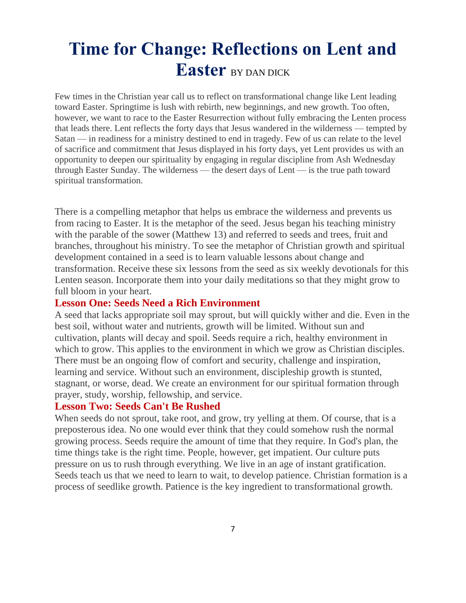# **Time for Change: Reflections on Lent and Easter** BY DAN DICK

Few times in the Christian year call us to reflect on transformational change like Lent leading toward Easter. Springtime is lush with rebirth, new beginnings, and new growth. Too often, however, we want to race to the Easter Resurrection without fully embracing the Lenten process that leads there. Lent reflects the forty days that Jesus wandered in the wilderness — tempted by Satan — in readiness for a ministry destined to end in tragedy. Few of us can relate to the level of sacrifice and commitment that Jesus displayed in his forty days, yet Lent provides us with an opportunity to deepen our spirituality by engaging in regular discipline from Ash Wednesday through Easter Sunday. The wilderness — the desert days of Lent — is the true path toward spiritual transformation.

There is a compelling metaphor that helps us embrace the wilderness and prevents us from racing to Easter. It is the metaphor of the seed. Jesus began his teaching ministry with the parable of the sower (Matthew 13) and referred to seeds and trees, fruit and branches, throughout his ministry. To see the metaphor of Christian growth and spiritual development contained in a seed is to learn valuable lessons about change and transformation. Receive these six lessons from the seed as six weekly devotionals for this Lenten season. Incorporate them into your daily meditations so that they might grow to full bloom in your heart.

#### **Lesson One: Seeds Need a Rich Environment**

A seed that lacks appropriate soil may sprout, but will quickly wither and die. Even in the best soil, without water and nutrients, growth will be limited. Without sun and cultivation, plants will decay and spoil. Seeds require a rich, healthy environment in which to grow. This applies to the environment in which we grow as Christian disciples. There must be an ongoing flow of comfort and security, challenge and inspiration, learning and service. Without such an environment, discipleship growth is stunted, stagnant, or worse, dead. We create an environment for our spiritual formation through prayer, study, worship, fellowship, and service.

#### **Lesson Two: Seeds Can't Be Rushed**

When seeds do not sprout, take root, and grow, try yelling at them. Of course, that is a preposterous idea. No one would ever think that they could somehow rush the normal growing process. Seeds require the amount of time that they require. In God's plan, the time things take is the right time. People, however, get impatient. Our culture puts pressure on us to rush through everything. We live in an age of instant gratification. Seeds teach us that we need to learn to wait, to develop patience. Christian formation is a process of seedlike growth. Patience is the key ingredient to transformational growth.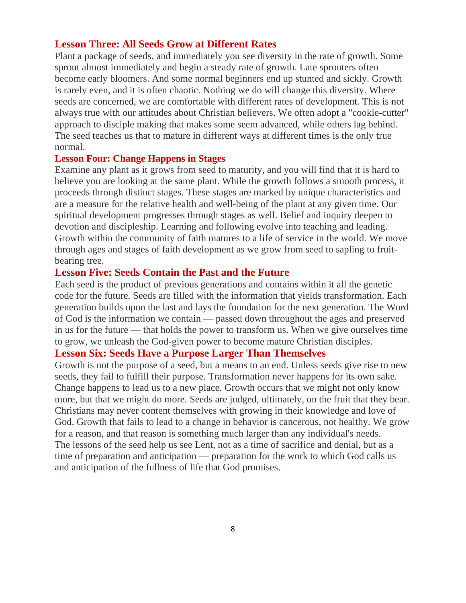#### **Lesson Three: All Seeds Grow at Different Rates**

Plant a package of seeds, and immediately you see diversity in the rate of growth. Some sprout almost immediately and begin a steady rate of growth. Late sprouters often become early bloomers. And some normal beginners end up stunted and sickly. Growth is rarely even, and it is often chaotic. Nothing we do will change this diversity. Where seeds are concerned, we are comfortable with different rates of development. This is not always true with our attitudes about Christian believers. We often adopt a "cookie-cutter" approach to disciple making that makes some seem advanced, while others lag behind. The seed teaches us that to mature in different ways at different times is the only true normal.

#### **Lesson Four: Change Happens in Stages**

Examine any plant as it grows from seed to maturity, and you will find that it is hard to believe you are looking at the same plant. While the growth follows a smooth process, it proceeds through distinct stages. These stages are marked by unique characteristics and are a measure for the relative health and well-being of the plant at any given time. Our spiritual development progresses through stages as well. Belief and inquiry deepen to devotion and discipleship. Learning and following evolve into teaching and leading. Growth within the community of faith matures to a life of service in the world. We move through ages and stages of faith development as we grow from seed to sapling to fruitbearing tree.

#### **Lesson Five: Seeds Contain the Past and the Future**

Each seed is the product of previous generations and contains within it all the genetic code for the future. Seeds are filled with the information that yields transformation. Each generation builds upon the last and lays the foundation for the next generation. The Word of God is the information we contain — passed down throughout the ages and preserved in us for the future — that holds the power to transform us. When we give ourselves time to grow, we unleash the God-given power to become mature Christian disciples.

#### **Lesson Six: Seeds Have a Purpose Larger Than Themselves**

Growth is not the purpose of a seed, but a means to an end. Unless seeds give rise to new seeds, they fail to fulfill their purpose. Transformation never happens for its own sake. Change happens to lead us to a new place. Growth occurs that we might not only know more, but that we might do more. Seeds are judged, ultimately, on the fruit that they bear. Christians may never content themselves with growing in their knowledge and love of God. Growth that fails to lead to a change in behavior is cancerous, not healthy. We grow for a reason, and that reason is something much larger than any individual's needs. The lessons of the seed help us see Lent, not as a time of sacrifice and denial, but as a time of preparation and anticipation — preparation for the work to which God calls us and anticipation of the fullness of life that God promises.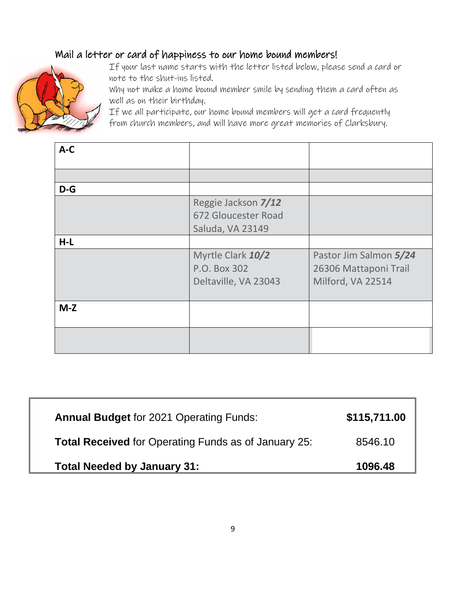# Mail a letter or card of happiness to our home bound members!



If your last name starts with the letter listed below, please send a card or note to the shut-ins listed.

Why not make a home bound member smile by sending them a card often as well as on their birthday.

If we all participate, our home bound members will get a card frequently from church members, and will have more great memories of Clarksbury.

| $A-C$ |                                                                |                                                                      |
|-------|----------------------------------------------------------------|----------------------------------------------------------------------|
|       |                                                                |                                                                      |
| $D-G$ |                                                                |                                                                      |
|       | Reggie Jackson 7/12<br>672 Gloucester Road<br>Saluda, VA 23149 |                                                                      |
| $H-L$ |                                                                |                                                                      |
|       | Myrtle Clark 10/2<br>P.O. Box 302<br>Deltaville, VA 23043      | Pastor Jim Salmon 5/24<br>26306 Mattaponi Trail<br>Milford, VA 22514 |
| $M-Z$ |                                                                |                                                                      |
|       |                                                                |                                                                      |

| <b>Annual Budget for 2021 Operating Funds:</b>              | \$115,711.00 |
|-------------------------------------------------------------|--------------|
| <b>Total Received</b> for Operating Funds as of January 25: | 8546.10      |
| <b>Total Needed by January 31:</b>                          | 1096.48      |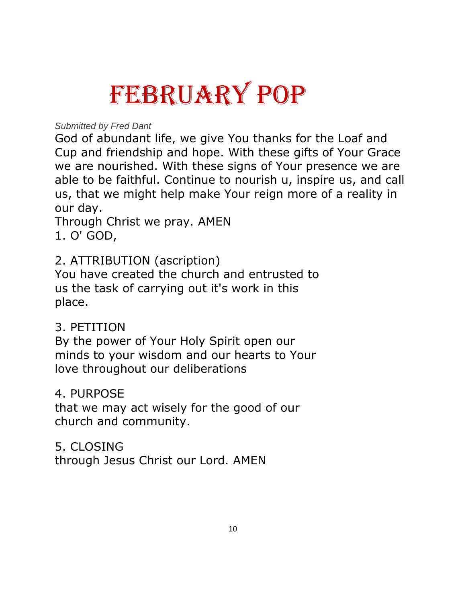# FEBRUARY POP

*Submitted by Fred Dant*

God of abundant life, we give You thanks for the Loaf and Cup and friendship and hope. With these gifts of Your Grace we are nourished. With these signs of Your presence we are able to be faithful. Continue to nourish u, inspire us, and call us, that we might help make Your reign more of a reality in our day.

Through Christ we pray. AMEN 1. O' GOD,

# 2. ATTRIBUTION (ascription)

You have created the church and entrusted to us the task of carrying out it's work in this place.

# 3. PETITION

By the power of Your Holy Spirit open our minds to your wisdom and our hearts to Your love throughout our deliberations

# 4. PURPOSE

that we may act wisely for the good of our church and community.

# 5. CLOSING

through Jesus Christ our Lord. AMEN